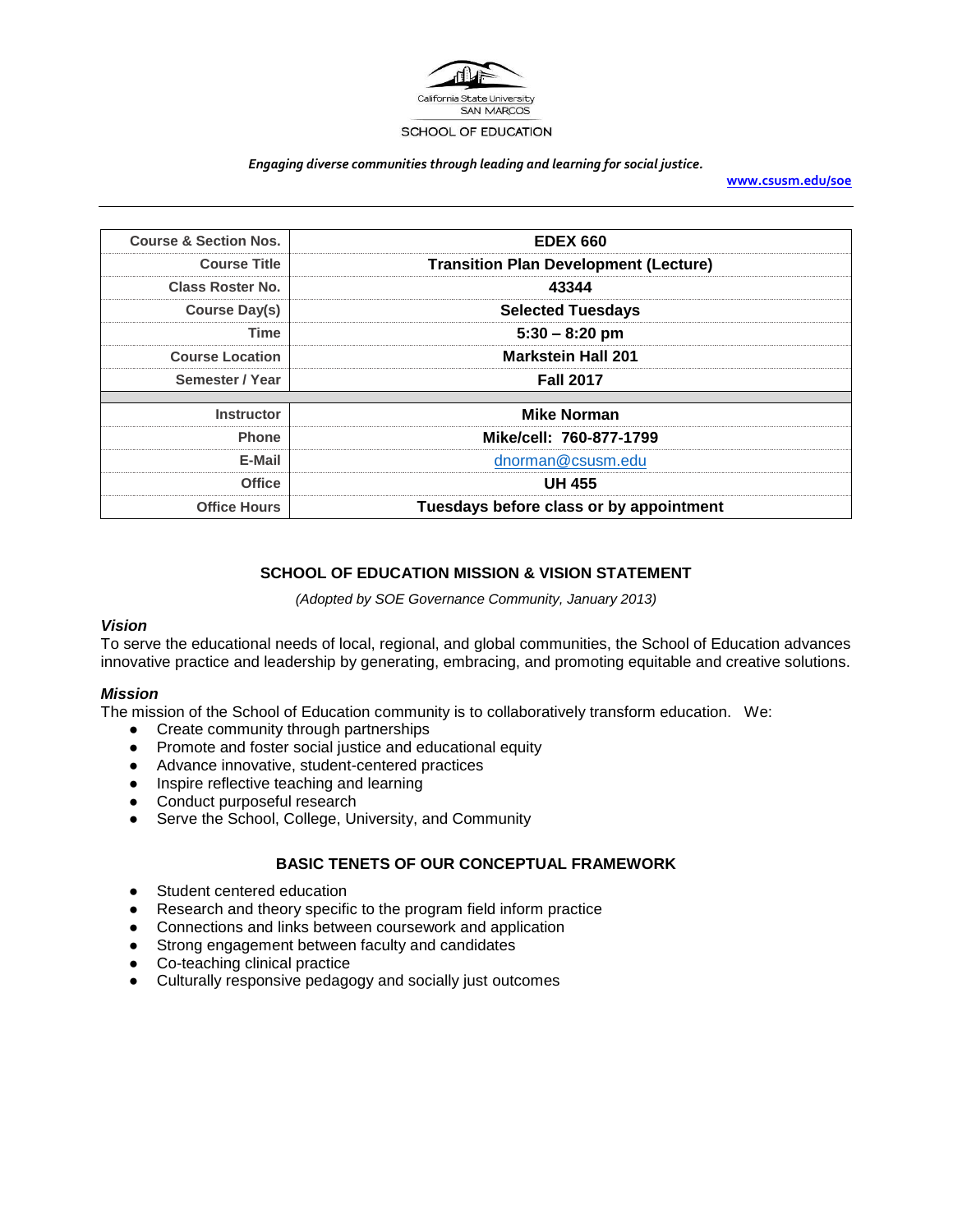

#### *Engaging diverse communities through leading and learning for social justice.*

**[www.csusm.edu/soe](http://www.csusm.edu/soe)**

| <b>Course &amp; Section Nos.</b> | <b>EDEX 660</b>                              |
|----------------------------------|----------------------------------------------|
| <b>Course Title</b>              | <b>Transition Plan Development (Lecture)</b> |
| <b>Class Roster No.</b>          | 43344                                        |
| Course Day(s)                    | <b>Selected Tuesdays</b>                     |
| Time                             | $5:30 - 8:20$ pm                             |
| <b>Course Location</b>           | <b>Markstein Hall 201</b>                    |
| Semester / Year                  | <b>Fall 2017</b>                             |
| <b>Instructor</b>                | <b>Mike Norman</b>                           |
| <b>Phone</b>                     | Mike/cell: 760-877-1799                      |
| E-Mail                           | dnorman@csusm.edu                            |
| <b>Office</b>                    | <b>UH 455</b>                                |
| <b>Office Hours</b>              | Tuesdays before class or by appointment      |

# **SCHOOL OF EDUCATION MISSION & VISION STATEMENT**

*(Adopted by SOE Governance Community, January 2013)*

### *Vision*

To serve the educational needs of local, regional, and global communities, the School of Education advances innovative practice and leadership by generating, embracing, and promoting equitable and creative solutions.

### *Mission*

The mission of the School of Education community is to collaboratively transform education. We:

- Create community through partnerships
- Promote and foster social justice and educational equity
- Advance innovative, student-centered practices
- Inspire reflective teaching and learning
- Conduct purposeful research
- Serve the School, College, University, and Community

# **BASIC TENETS OF OUR CONCEPTUAL FRAMEWORK**

- Student centered education
- Research and theory specific to the program field inform practice
- Connections and links between coursework and application
- Strong engagement between faculty and candidates
- Co-teaching clinical practice
- Culturally responsive pedagogy and socially just outcomes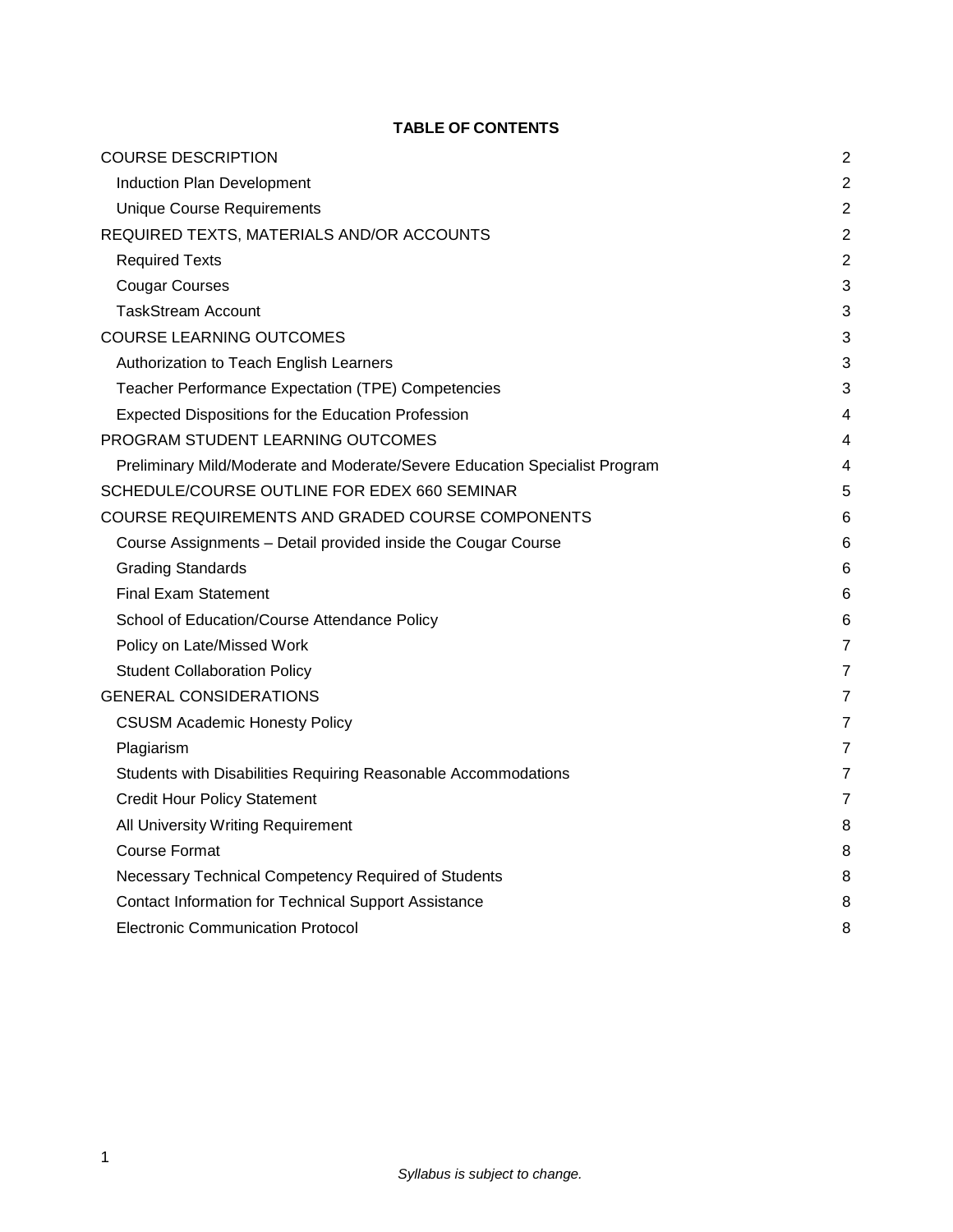# **TABLE OF CONTENTS**

| <b>COURSE DESCRIPTION</b>                                                  | $\overline{c}$ |
|----------------------------------------------------------------------------|----------------|
| Induction Plan Development                                                 | $\overline{c}$ |
| <b>Unique Course Requirements</b>                                          | $\overline{2}$ |
| REQUIRED TEXTS, MATERIALS AND/OR ACCOUNTS                                  | $\overline{2}$ |
| <b>Required Texts</b>                                                      | $\overline{2}$ |
| <b>Cougar Courses</b>                                                      | 3              |
| <b>TaskStream Account</b>                                                  | 3              |
| <b>COURSE LEARNING OUTCOMES</b>                                            | 3              |
| Authorization to Teach English Learners                                    | 3              |
| Teacher Performance Expectation (TPE) Competencies                         | 3              |
| Expected Dispositions for the Education Profession                         | 4              |
| PROGRAM STUDENT LEARNING OUTCOMES                                          | $\overline{4}$ |
| Preliminary Mild/Moderate and Moderate/Severe Education Specialist Program | 4              |
| SCHEDULE/COURSE OUTLINE FOR EDEX 660 SEMINAR                               | 5              |
| COURSE REQUIREMENTS AND GRADED COURSE COMPONENTS                           | 6              |
| Course Assignments - Detail provided inside the Cougar Course              | 6              |
| <b>Grading Standards</b>                                                   | 6              |
| <b>Final Exam Statement</b>                                                | 6              |
| School of Education/Course Attendance Policy                               | 6              |
| Policy on Late/Missed Work                                                 | 7              |
|                                                                            |                |
| <b>Student Collaboration Policy</b><br><b>GENERAL CONSIDERATIONS</b>       | $\overline{7}$ |
|                                                                            | 7              |
| <b>CSUSM Academic Honesty Policy</b>                                       | 7              |
| Plagiarism                                                                 | 7              |
| Students with Disabilities Requiring Reasonable Accommodations             | 7              |
| <b>Credit Hour Policy Statement</b>                                        | $\overline{7}$ |
| All University Writing Requirement                                         | 8              |
| <b>Course Format</b>                                                       | 8              |
| Necessary Technical Competency Required of Students                        | 8              |
| Contact Information for Technical Support Assistance                       | 8              |
| <b>Electronic Communication Protocol</b>                                   | 8              |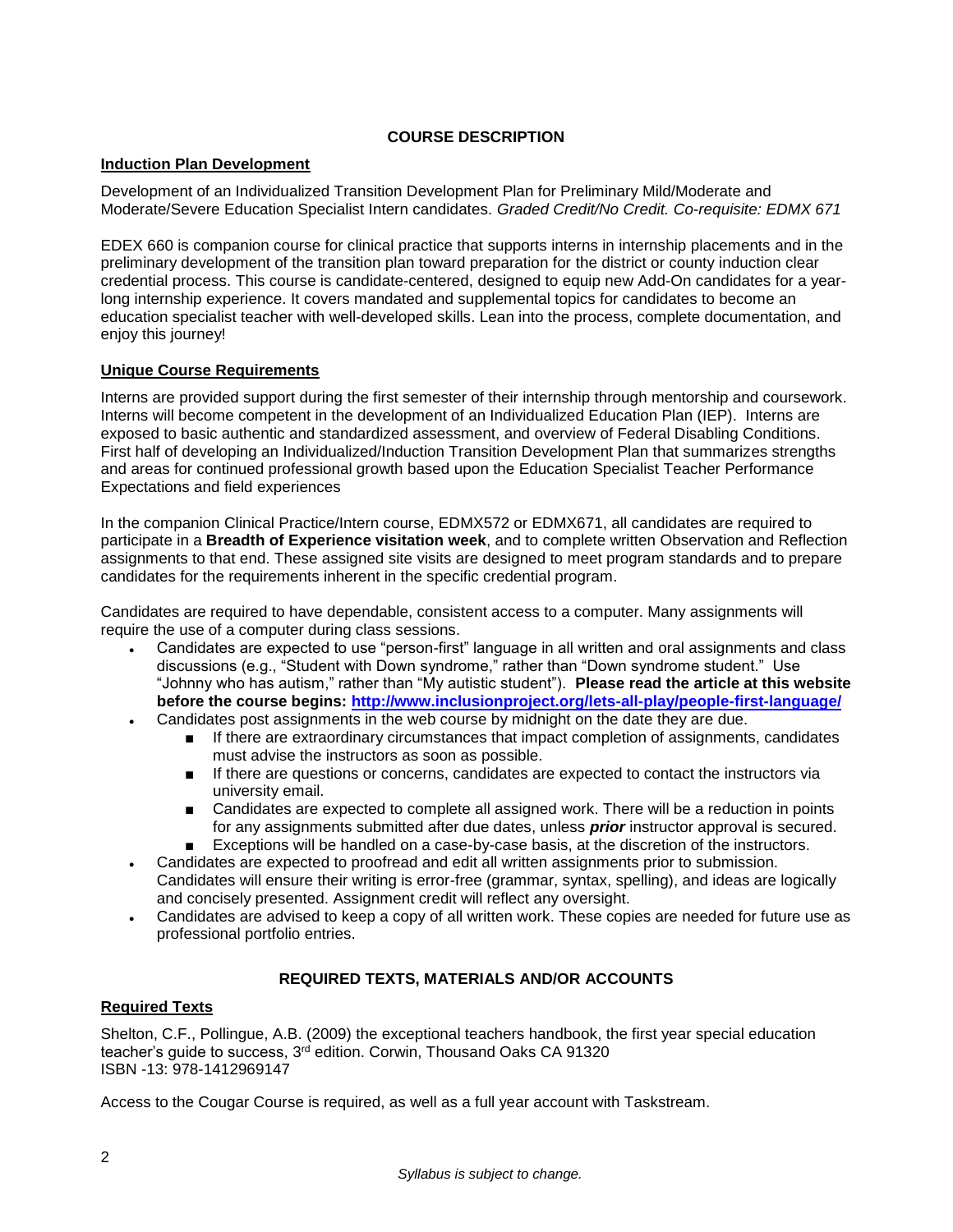# **COURSE DESCRIPTION**

## <span id="page-2-1"></span><span id="page-2-0"></span>**Induction Plan Development**

Development of an Individualized Transition Development Plan for Preliminary Mild/Moderate and Moderate/Severe Education Specialist Intern candidates. *Graded Credit/No Credit. Co-requisite: EDMX 671*

EDEX 660 is companion course for clinical practice that supports interns in internship placements and in the preliminary development of the transition plan toward preparation for the district or county induction clear credential process. This course is candidate-centered, designed to equip new Add-On candidates for a yearlong internship experience. It covers mandated and supplemental topics for candidates to become an education specialist teacher with well-developed skills. Lean into the process, complete documentation, and enjoy this journey!

## <span id="page-2-2"></span>**Unique Course Requirements**

Interns are provided support during the first semester of their internship through mentorship and coursework. Interns will become competent in the development of an Individualized Education Plan (IEP). Interns are exposed to basic authentic and standardized assessment, and overview of Federal Disabling Conditions. First half of developing an Individualized/Induction Transition Development Plan that summarizes strengths and areas for continued professional growth based upon the Education Specialist Teacher Performance Expectations and field experiences

In the companion Clinical Practice/Intern course, EDMX572 or EDMX671, all candidates are required to participate in a **Breadth of Experience visitation week**, and to complete written Observation and Reflection assignments to that end. These assigned site visits are designed to meet program standards and to prepare candidates for the requirements inherent in the specific credential program.

Candidates are required to have dependable, consistent access to a computer. Many assignments will require the use of a computer during class sessions.

- Candidates are expected to use "person-first" language in all written and oral assignments and class discussions (e.g., "Student with Down syndrome," rather than "Down syndrome student." Use "Johnny who has autism," rather than "My autistic student"). **Please read the article at this website before the course begins:<http://www.inclusionproject.org/lets-all-play/people-first-language/>**
- Candidates post assignments in the web course by midnight on the date they are due.
	- If there are extraordinary circumstances that impact completion of assignments, candidates must advise the instructors as soon as possible.
	- If there are questions or concerns, candidates are expected to contact the instructors via university email.
	- Candidates are expected to complete all assigned work. There will be a reduction in points for any assignments submitted after due dates, unless *prior* instructor approval is secured.
	- Exceptions will be handled on a case-by-case basis, at the discretion of the instructors.
- Candidates are expected to proofread and edit all written assignments prior to submission. Candidates will ensure their writing is error-free (grammar, syntax, spelling), and ideas are logically and concisely presented. Assignment credit will reflect any oversight.
- Candidates are advised to keep a copy of all written work. These copies are needed for future use as professional portfolio entries.

# **REQUIRED TEXTS, MATERIALS AND/OR ACCOUNTS**

# <span id="page-2-4"></span><span id="page-2-3"></span>**Required Texts**

Shelton, C.F., Pollingue, A.B. (2009) the exceptional teachers handbook, the first year special education teacher's guide to success, 3<sup>rd</sup> edition. Corwin, Thousand Oaks CA 91320 ISBN -13: 978-1412969147

Access to the Cougar Course is required, as well as a full year account with Taskstream.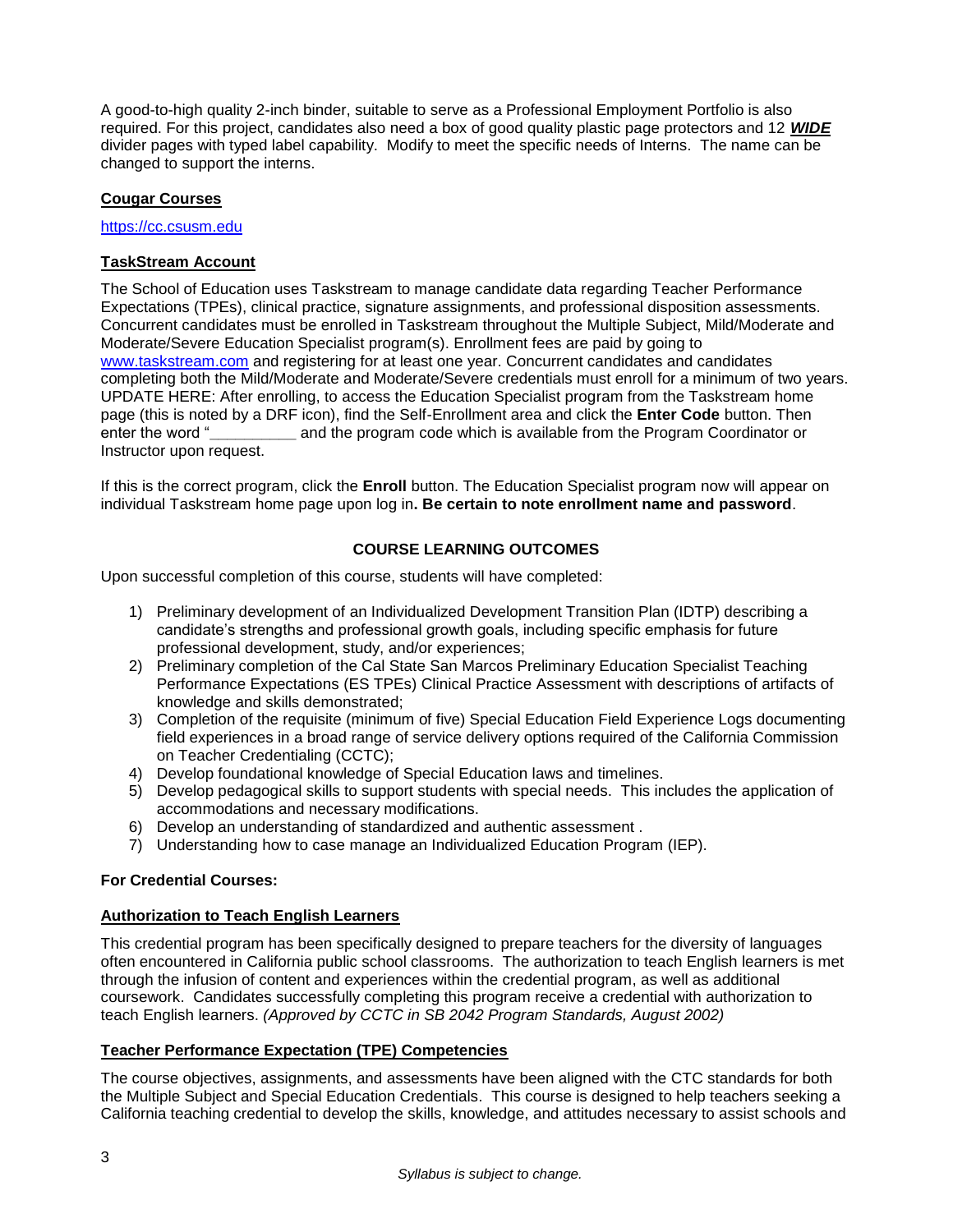A good-to-high quality 2-inch binder, suitable to serve as a Professional Employment Portfolio is also required. For this project, candidates also need a box of good quality plastic page protectors and 12 *WIDE* divider pages with typed label capability. Modify to meet the specific needs of Interns. The name can be changed to support the interns.

## <span id="page-3-0"></span>**Cougar Courses**

[https://cc.csusm.edu](https://cc.csusm.edu/)

## <span id="page-3-1"></span>**TaskStream Account**

The School of Education uses Taskstream to manage candidate data regarding Teacher Performance Expectations (TPEs), clinical practice, signature assignments, and professional disposition assessments. Concurrent candidates must be enrolled in Taskstream throughout the Multiple Subject, Mild/Moderate and Moderate/Severe Education Specialist program(s). Enrollment fees are paid by going to [www.taskstream.com](https://copilot.csusm.edu/owa/redir.aspx?C=JQGRF98_YUaQtaUmRLCQfVWnwmJwxs9IDInTVMhk81xWIUA7hRT2uY6jlnFWAAXDSUJtKsld_Qs.&URL=http%3a%2f%2fwww.taskstrem.com) and registering for at least one year. Concurrent candidates and candidates completing both the Mild/Moderate and Moderate/Severe credentials must enroll for a minimum of two years. UPDATE HERE: After enrolling, to access the Education Specialist program from the Taskstream home page (this is noted by a DRF icon), find the Self-Enrollment area and click the **Enter Code** button. Then enter the word "**\_\_\_\_\_\_\_\_\_\_** and the program code which is available from the Program Coordinator or Instructor upon request.

If this is the correct program, click the **Enroll** button. The Education Specialist program now will appear on individual Taskstream home page upon log in**. Be certain to note enrollment name and password**.

## **COURSE LEARNING OUTCOMES**

<span id="page-3-2"></span>Upon successful completion of this course, students will have completed:

- 1) Preliminary development of an Individualized Development Transition Plan (IDTP) describing a candidate's strengths and professional growth goals, including specific emphasis for future professional development, study, and/or experiences;
- 2) Preliminary completion of the Cal State San Marcos Preliminary Education Specialist Teaching Performance Expectations (ES TPEs) Clinical Practice Assessment with descriptions of artifacts of knowledge and skills demonstrated;
- 3) Completion of the requisite (minimum of five) Special Education Field Experience Logs documenting field experiences in a broad range of service delivery options required of the California Commission on Teacher Credentialing (CCTC);
- 4) Develop foundational knowledge of Special Education laws and timelines.
- 5) Develop pedagogical skills to support students with special needs. This includes the application of accommodations and necessary modifications.
- 6) Develop an understanding of standardized and authentic assessment .
- 7) Understanding how to case manage an Individualized Education Program (IEP).

### **For Credential Courses:**

### <span id="page-3-3"></span>**Authorization to Teach English Learners**

This credential program has been specifically designed to prepare teachers for the diversity of languages often encountered in California public school classrooms. The authorization to teach English learners is met through the infusion of content and experiences within the credential program, as well as additional coursework. Candidates successfully completing this program receive a credential with authorization to teach English learners. *(Approved by CCTC in SB 2042 Program Standards, August 2002)*

### <span id="page-3-4"></span>**Teacher Performance Expectation (TPE) Competencies**

The course objectives, assignments, and assessments have been aligned with the CTC standards for both the Multiple Subject and Special Education Credentials. This course is designed to help teachers seeking a California teaching credential to develop the skills, knowledge, and attitudes necessary to assist schools and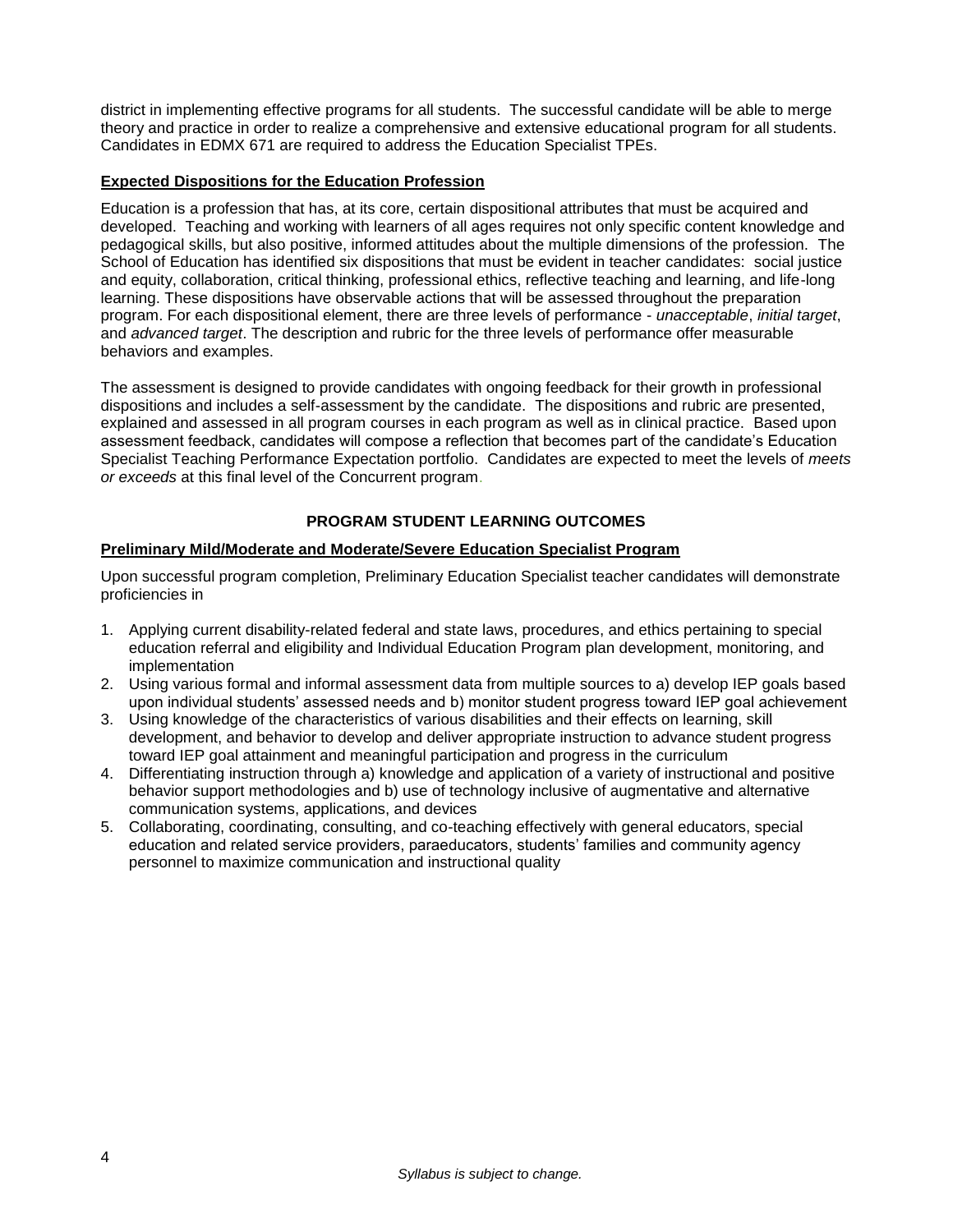district in implementing effective programs for all students. The successful candidate will be able to merge theory and practice in order to realize a comprehensive and extensive educational program for all students. Candidates in EDMX 671 are required to address the Education Specialist TPEs.

### <span id="page-4-0"></span>**Expected Dispositions for the Education Profession**

Education is a profession that has, at its core, certain dispositional attributes that must be acquired and developed. Teaching and working with learners of all ages requires not only specific content knowledge and pedagogical skills, but also positive, informed attitudes about the multiple dimensions of the profession. The School of Education has identified six dispositions that must be evident in teacher candidates: social justice and equity, collaboration, critical thinking, professional ethics, reflective teaching and learning, and life-long learning. These dispositions have observable actions that will be assessed throughout the preparation program. For each dispositional element, there are three levels of performance - *unacceptable*, *initial target*, and *advanced target*. The description and rubric for the three levels of performance offer measurable behaviors and examples.

The assessment is designed to provide candidates with ongoing feedback for their growth in professional dispositions and includes a self-assessment by the candidate. The dispositions and rubric are presented, explained and assessed in all program courses in each program as well as in clinical practice. Based upon assessment feedback, candidates will compose a reflection that becomes part of the candidate's Education Specialist Teaching Performance Expectation portfolio. Candidates are expected to meet the levels of *meets or exceeds* at this final level of the Concurrent program.

# **PROGRAM STUDENT LEARNING OUTCOMES**

## <span id="page-4-2"></span><span id="page-4-1"></span>**Preliminary Mild/Moderate and Moderate/Severe Education Specialist Program**

Upon successful program completion, Preliminary Education Specialist teacher candidates will demonstrate proficiencies in

- 1. Applying current disability-related federal and state laws, procedures, and ethics pertaining to special education referral and eligibility and Individual Education Program plan development, monitoring, and implementation
- 2. Using various formal and informal assessment data from multiple sources to a) develop IEP goals based upon individual students' assessed needs and b) monitor student progress toward IEP goal achievement
- 3. Using knowledge of the characteristics of various disabilities and their effects on learning, skill development, and behavior to develop and deliver appropriate instruction to advance student progress toward IEP goal attainment and meaningful participation and progress in the curriculum
- 4. Differentiating instruction through a) knowledge and application of a variety of instructional and positive behavior support methodologies and b) use of technology inclusive of augmentative and alternative communication systems, applications, and devices
- 5. Collaborating, coordinating, consulting, and co-teaching effectively with general educators, special education and related service providers, paraeducators, students' families and community agency personnel to maximize communication and instructional quality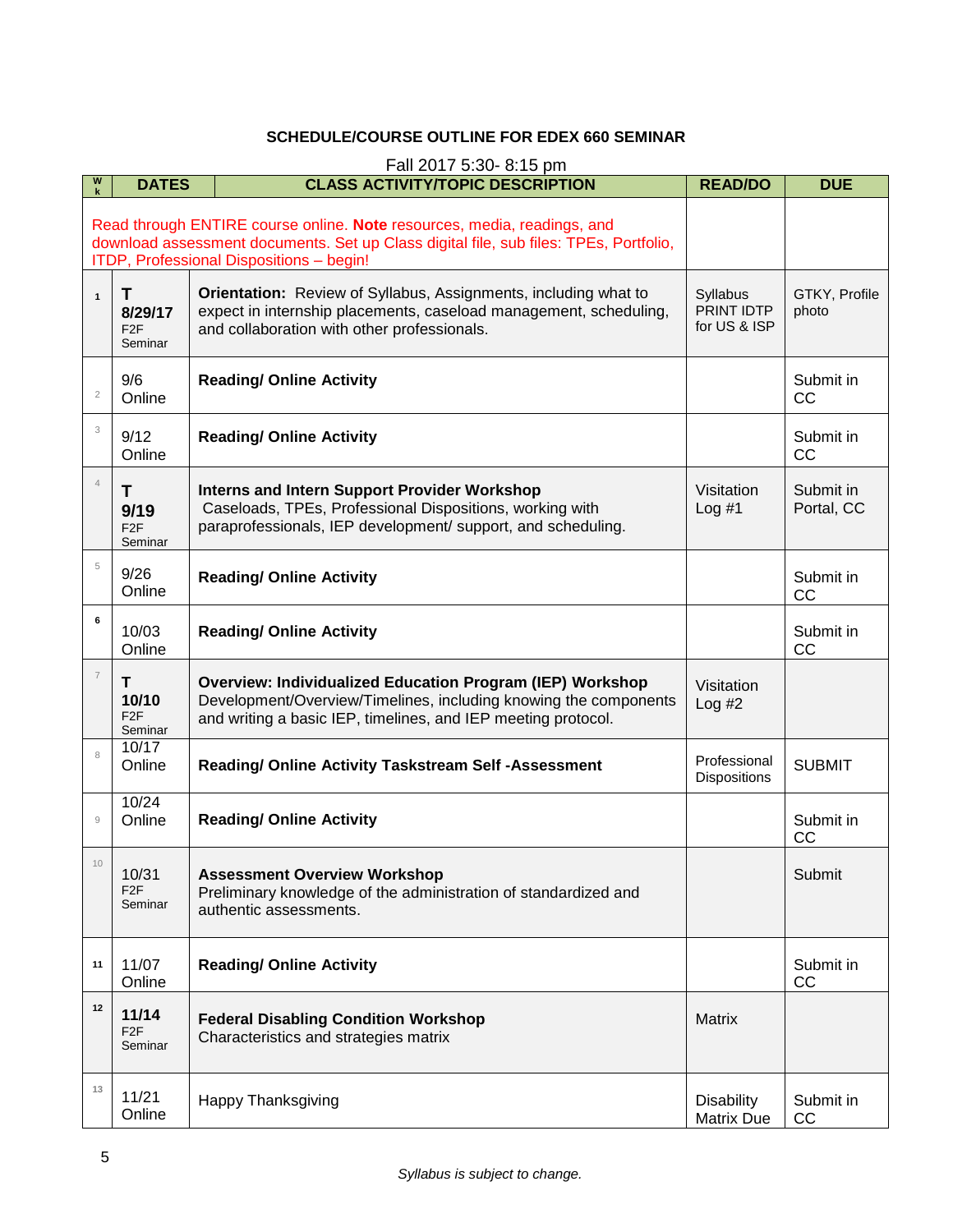## **SCHEDULE/COURSE OUTLINE FOR EDEX 660 SEMINAR**

<span id="page-5-0"></span>

| W                                                                                                                                                                                                            | Fall 2017 5:30-8:15 pm                      |                                                                                                                                                                                                       |                                        |                         |  |
|--------------------------------------------------------------------------------------------------------------------------------------------------------------------------------------------------------------|---------------------------------------------|-------------------------------------------------------------------------------------------------------------------------------------------------------------------------------------------------------|----------------------------------------|-------------------------|--|
|                                                                                                                                                                                                              | <b>DATES</b>                                | <b>CLASS ACTIVITY/TOPIC DESCRIPTION</b>                                                                                                                                                               | <b>READ/DO</b>                         | <b>DUE</b>              |  |
| Read through ENTIRE course online. Note resources, media, readings, and<br>download assessment documents. Set up Class digital file, sub files: TPEs, Portfolio,<br>ITDP, Professional Dispositions - begin! |                                             |                                                                                                                                                                                                       |                                        |                         |  |
| $\mathbf{1}$                                                                                                                                                                                                 | T<br>8/29/17<br>F <sub>2</sub> F<br>Seminar | Orientation: Review of Syllabus, Assignments, including what to<br>expect in internship placements, caseload management, scheduling,<br>and collaboration with other professionals.                   | Syllabus<br>PRINT IDTP<br>for US & ISP | GTKY, Profile<br>photo  |  |
| $\sqrt{2}$                                                                                                                                                                                                   | 9/6<br>Online                               | <b>Reading/ Online Activity</b>                                                                                                                                                                       |                                        | Submit in<br>CC         |  |
| 3                                                                                                                                                                                                            | 9/12<br>Online                              | <b>Reading/ Online Activity</b>                                                                                                                                                                       |                                        | Submit in<br>CC         |  |
| $\overline{4}$                                                                                                                                                                                               | T<br>9/19<br>F <sub>2</sub> F<br>Seminar    | <b>Interns and Intern Support Provider Workshop</b><br>Caseloads, TPEs, Professional Dispositions, working with<br>paraprofessionals, IEP development/ support, and scheduling.                       | Visitation<br>Log#1                    | Submit in<br>Portal, CC |  |
| $\,$ 5                                                                                                                                                                                                       | 9/26<br>Online                              | <b>Reading/ Online Activity</b>                                                                                                                                                                       |                                        | Submit in<br>CC         |  |
| 6                                                                                                                                                                                                            | 10/03<br>Online                             | <b>Reading/ Online Activity</b>                                                                                                                                                                       |                                        | Submit in<br>CC         |  |
| $\overline{\mathcal{I}}$                                                                                                                                                                                     | Τ<br>10/10<br>F <sub>2</sub> F<br>Seminar   | <b>Overview: Individualized Education Program (IEP) Workshop</b><br>Development/Overview/Timelines, including knowing the components<br>and writing a basic IEP, timelines, and IEP meeting protocol. | Visitation<br>Log #2                   |                         |  |
| 8                                                                                                                                                                                                            | 10/17<br>Online                             | Reading/ Online Activity Taskstream Self -Assessment                                                                                                                                                  | Professional<br>Dispositions           | <b>SUBMIT</b>           |  |
| $\overline{9}$                                                                                                                                                                                               | 10/24<br>Online                             | <b>Reading/ Online Activity</b>                                                                                                                                                                       |                                        | Submit in<br>cc         |  |
| 10                                                                                                                                                                                                           | 10/31<br>F <sub>2F</sub><br>Seminar         | <b>Assessment Overview Workshop</b><br>Preliminary knowledge of the administration of standardized and<br>authentic assessments.                                                                      |                                        | Submit                  |  |
| 11                                                                                                                                                                                                           | 11/07<br>Online                             | <b>Reading/ Online Activity</b>                                                                                                                                                                       |                                        | Submit in<br>CC         |  |
| 12                                                                                                                                                                                                           | 11/14<br>F <sub>2F</sub><br>Seminar         | <b>Federal Disabling Condition Workshop</b><br>Characteristics and strategies matrix                                                                                                                  | <b>Matrix</b>                          |                         |  |
| 13                                                                                                                                                                                                           | 11/21<br>Online                             | <b>Happy Thanksgiving</b>                                                                                                                                                                             | <b>Disability</b><br><b>Matrix Due</b> | Submit in<br>cc         |  |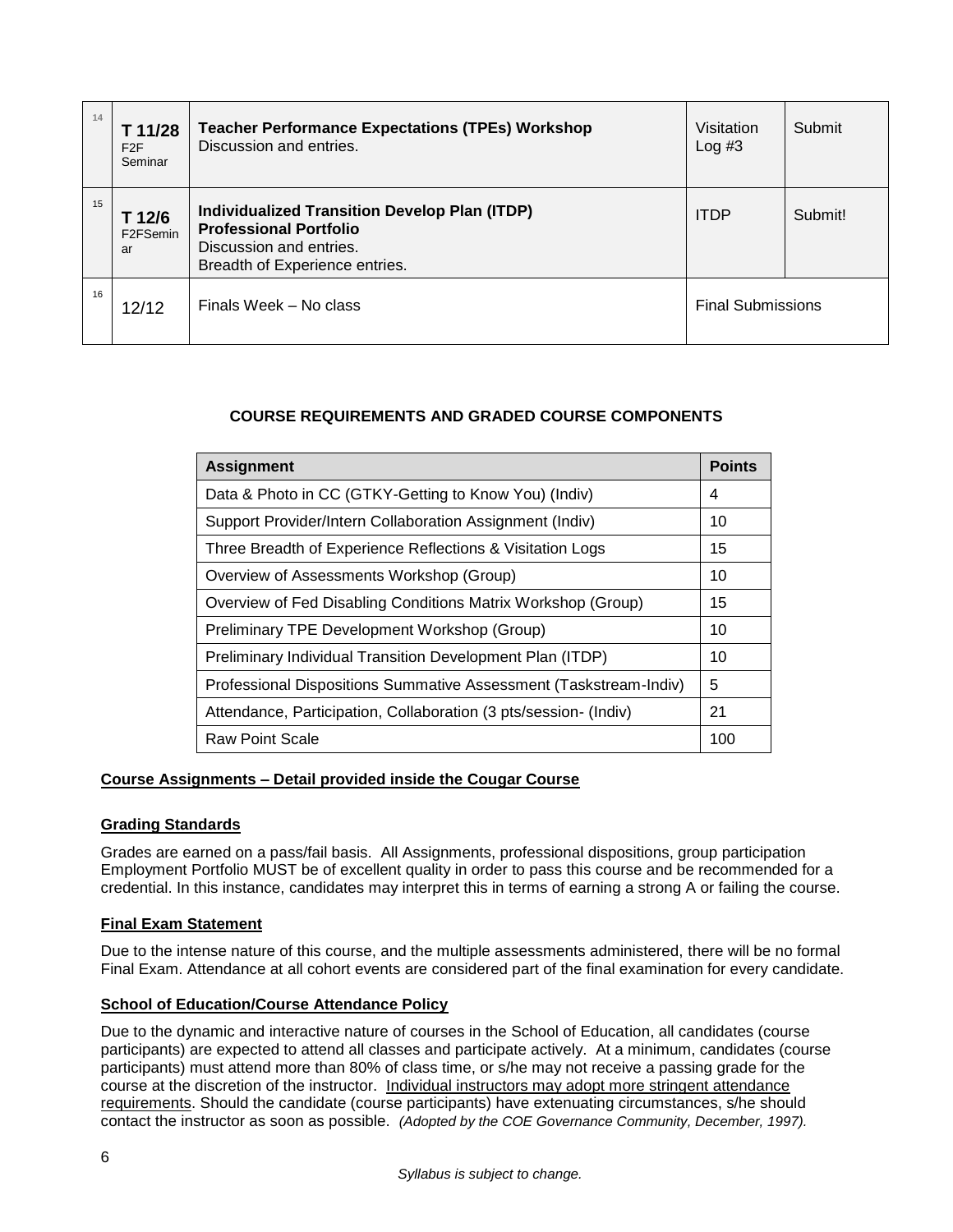| 14 | T 11/28<br>F2F<br>Seminar             | <b>Teacher Performance Expectations (TPEs) Workshop</b><br>Discussion and entries.                                                                 | Visitation<br>Log#3      | Submit  |
|----|---------------------------------------|----------------------------------------------------------------------------------------------------------------------------------------------------|--------------------------|---------|
| 15 | T 12/6<br>F <sub>2</sub> FSemin<br>ar | <b>Individualized Transition Develop Plan (ITDP)</b><br><b>Professional Portfolio</b><br>Discussion and entries.<br>Breadth of Experience entries. | <b>ITDP</b>              | Submit! |
| 16 | 12/12                                 | Finals Week – No class                                                                                                                             | <b>Final Submissions</b> |         |

# **COURSE REQUIREMENTS AND GRADED COURSE COMPONENTS**

<span id="page-6-0"></span>

| <b>Assignment</b>                                                 | <b>Points</b> |  |
|-------------------------------------------------------------------|---------------|--|
| Data & Photo in CC (GTKY-Getting to Know You) (Indiv)             |               |  |
| Support Provider/Intern Collaboration Assignment (Indiv)          |               |  |
| Three Breadth of Experience Reflections & Visitation Logs         | 15            |  |
| Overview of Assessments Workshop (Group)                          | 10            |  |
| Overview of Fed Disabling Conditions Matrix Workshop (Group)      | 15            |  |
| Preliminary TPE Development Workshop (Group)                      | 10            |  |
| Preliminary Individual Transition Development Plan (ITDP)         | 10            |  |
| Professional Dispositions Summative Assessment (Taskstream-Indiv) | 5             |  |
| Attendance, Participation, Collaboration (3 pts/session- (Indiv)  |               |  |
| <b>Raw Point Scale</b>                                            | 100           |  |

# <span id="page-6-1"></span>**Course Assignments – Detail provided inside the Cougar Course**

# <span id="page-6-2"></span>**Grading Standards**

Grades are earned on a pass/fail basis. All Assignments, professional dispositions, group participation Employment Portfolio MUST be of excellent quality in order to pass this course and be recommended for a credential. In this instance, candidates may interpret this in terms of earning a strong A or failing the course.

# <span id="page-6-3"></span>**Final Exam Statement**

Due to the intense nature of this course, and the multiple assessments administered, there will be no formal Final Exam. Attendance at all cohort events are considered part of the final examination for every candidate.

# <span id="page-6-4"></span>**School of Education/Course Attendance Policy**

Due to the dynamic and interactive nature of courses in the School of Education, all candidates (course participants) are expected to attend all classes and participate actively. At a minimum, candidates (course participants) must attend more than 80% of class time, or s/he may not receive a passing grade for the course at the discretion of the instructor. Individual instructors may adopt more stringent attendance requirements. Should the candidate (course participants) have extenuating circumstances, s/he should contact the instructor as soon as possible. *(Adopted by the COE Governance Community, December, 1997).*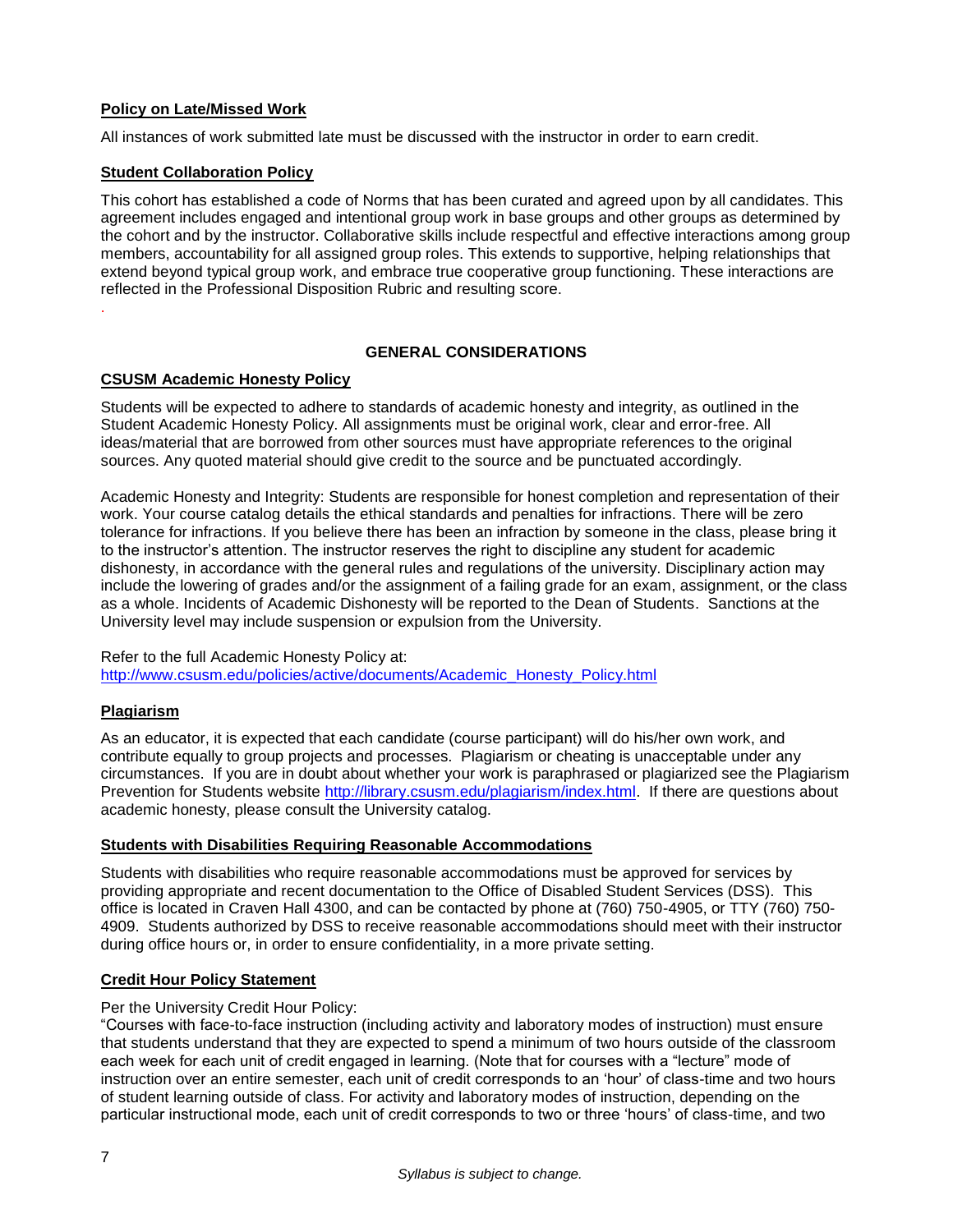# <span id="page-7-0"></span>**Policy on Late/Missed Work**

All instances of work submitted late must be discussed with the instructor in order to earn credit.

## <span id="page-7-1"></span>**Student Collaboration Policy**

This cohort has established a code of Norms that has been curated and agreed upon by all candidates. This agreement includes engaged and intentional group work in base groups and other groups as determined by the cohort and by the instructor. Collaborative skills include respectful and effective interactions among group members, accountability for all assigned group roles. This extends to supportive, helping relationships that extend beyond typical group work, and embrace true cooperative group functioning. These interactions are reflected in the Professional Disposition Rubric and resulting score.

## **GENERAL CONSIDERATIONS**

## <span id="page-7-3"></span>**CSUSM Academic Honesty Policy**

Students will be expected to adhere to standards of academic honesty and integrity, as outlined in the Student Academic Honesty Policy. All assignments must be original work, clear and error-free. All ideas/material that are borrowed from other sources must have appropriate references to the original sources. Any quoted material should give credit to the source and be punctuated accordingly.

Academic Honesty and Integrity: Students are responsible for honest completion and representation of their work. Your course catalog details the ethical standards and penalties for infractions. There will be zero tolerance for infractions. If you believe there has been an infraction by someone in the class, please bring it to the instructor's attention. The instructor reserves the right to discipline any student for academic dishonesty, in accordance with the general rules and regulations of the university. Disciplinary action may include the lowering of grades and/or the assignment of a failing grade for an exam, assignment, or the class as a whole. Incidents of Academic Dishonesty will be reported to the Dean of Students. Sanctions at the University level may include suspension or expulsion from the University.

#### Refer to the full Academic Honesty Policy at: [http://www.csusm.edu/policies/active/documents/Academic\\_Honesty\\_Policy.html](http://www.csusm.edu/policies/active/documents/Academic_Honesty_Policy.html)

# <span id="page-7-4"></span>**Plagiarism**

<span id="page-7-2"></span>.

As an educator, it is expected that each candidate (course participant) will do his/her own work, and contribute equally to group projects and processes. Plagiarism or cheating is unacceptable under any circumstances. If you are in doubt about whether your work is paraphrased or plagiarized see the Plagiarism Prevention for Students website [http://library.csusm.edu/plagiarism/index.html.](http://library.csusm.edu/plagiarism/index.html) If there are questions about academic honesty, please consult the University catalog.

### <span id="page-7-5"></span>**Students with Disabilities Requiring Reasonable Accommodations**

Students with disabilities who require reasonable accommodations must be approved for services by providing appropriate and recent documentation to the Office of Disabled Student Services (DSS). This office is located in Craven Hall 4300, and can be contacted by phone at (760) 750-4905, or TTY (760) 750- 4909. Students authorized by DSS to receive reasonable accommodations should meet with their instructor during office hours or, in order to ensure confidentiality, in a more private setting.

# <span id="page-7-6"></span>**Credit Hour Policy Statement**

### Per the University Credit Hour Policy:

"Courses with face-to-face instruction (including activity and laboratory modes of instruction) must ensure that students understand that they are expected to spend a minimum of two hours outside of the classroom each week for each unit of credit engaged in learning. (Note that for courses with a "lecture" mode of instruction over an entire semester, each unit of credit corresponds to an 'hour' of class-time and two hours of student learning outside of class. For activity and laboratory modes of instruction, depending on the particular instructional mode, each unit of credit corresponds to two or three 'hours' of class-time, and two